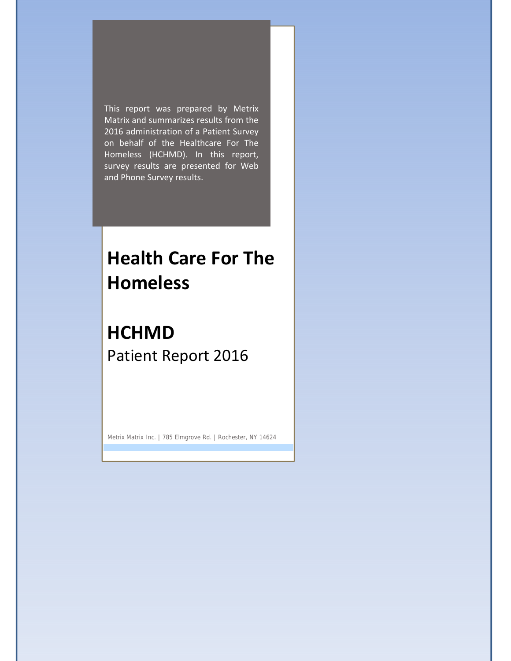2016 administration of a Patient Survey This report was prepared by Metrix Matrix and summarizes results from the on behalf of the Healthcare For The Homeless (HCHMD). In this report, survey results are presented for Web and Phone Survey results.

# **Health Care For The Homeless**

## **HCHMD** Patient Report 2016

Metrix Matrix Inc. | 785 Elmgrove Rd. | Rochester, NY 14624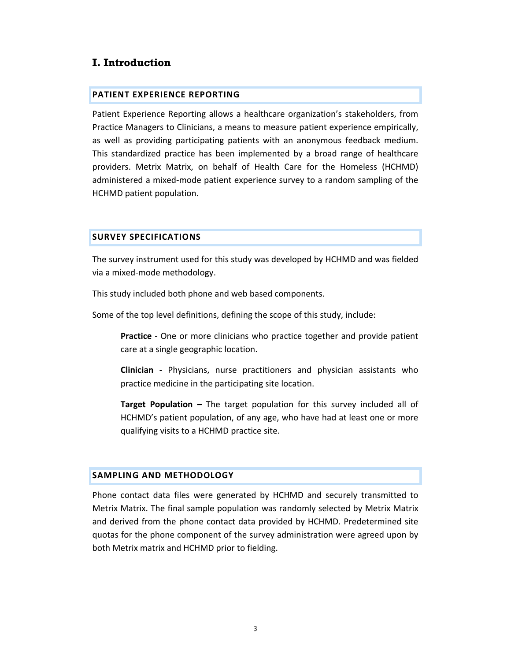## **I. Introduction**

#### **PATIENT EXPERIENCE REPORTING**

Patient Experience Reporting allows a healthcare organization's stakeholders, from Practice Managers to Clinicians, a means to measure patient experience empirically, as well as providing participating patients with an anonymous feedback medium. This standardized practice has been implemented by a broad range of healthcare providers. Metrix Matrix, on behalf of Health Care for the Homeless (HCHMD) administered a mixed‐mode patient experience survey to a random sampling of the HCHMD patient population.

### **SURVEY SPECIFICATIONS**

The survey instrument used for this study was developed by HCHMD and was fielded via a mixed‐mode methodology.

This study included both phone and web based components.

Some of the top level definitions, defining the scope of this study, include:

**Practice** - One or more clinicians who practice together and provide patient care at a single geographic location.

**Clinician ‐** Physicians, nurse practitioners and physician assistants who practice medicine in the participating site location.

**Target Population –** The target population for this survey included all of HCHMD's patient population, of any age, who have had at least one or more qualifying visits to a HCHMD practice site.

#### **SAMPLING AND METHODOLOGY**

Phone contact data files were generated by HCHMD and securely transmitted to Metrix Matrix. The final sample population was randomly selected by Metrix Matrix and derived from the phone contact data provided by HCHMD. Predetermined site quotas for the phone component of the survey administration were agreed upon by both Metrix matrix and HCHMD prior to fielding.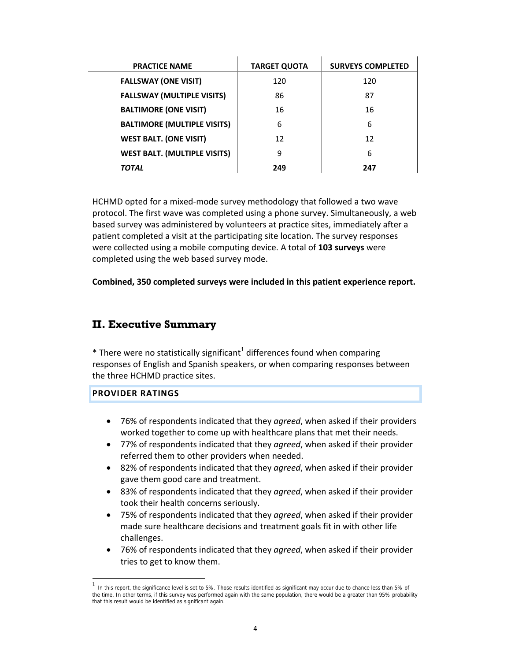| <b>PRACTICE NAME</b>                | <b>TARGET QUOTA</b> | <b>SURVEYS COMPLETED</b> |
|-------------------------------------|---------------------|--------------------------|
| <b>FALLSWAY (ONE VISIT)</b>         | 120                 | 120                      |
| <b>FALLSWAY (MULTIPLE VISITS)</b>   | 86                  | 87                       |
| <b>BALTIMORE (ONE VISIT)</b>        | 16                  | 16                       |
| <b>BALTIMORE (MULTIPLE VISITS)</b>  | 6                   | 6                        |
| <b>WEST BALT. (ONE VISIT)</b>       | 12                  | 12                       |
| <b>WEST BALT. (MULTIPLE VISITS)</b> | 9                   | 6                        |
| <b>TOTAL</b>                        | 249                 | 247                      |

HCHMD opted for a mixed‐mode survey methodology that followed a two wave protocol. The first wave was completed using a phone survey. Simultaneously, a web based survey was administered by volunteers at practice sites, immediately after a patient completed a visit at the participating site location. The survey responses were collected using a mobile computing device. A total of **103 surveys** were completed using the web based survey mode.

**Combined, 350 completed surveys were included in this patient experience report.**

## **II. Executive Summary**

 $*$  There were no statistically significant<sup>1</sup> differences found when comparing responses of English and Spanish speakers, or when comparing responses between the three HCHMD practice sites.

#### **PROVIDER RATINGS**

-

- 76% of respondents indicated that they *agreed*, when asked if their providers worked together to come up with healthcare plans that met their needs.
- 77% of respondents indicated that they *agreed*, when asked if their provider referred them to other providers when needed.
- 82% of respondents indicated that they *agreed*, when asked if their provider gave them good care and treatment.
- 83% of respondents indicated that they *agreed*, when asked if their provider took their health concerns seriously.
- 75% of respondents indicated that they *agreed*, when asked if their provider made sure healthcare decisions and treatment goals fit in with other life challenges.
- 76% of respondents indicated that they *agreed*, when asked if their provider tries to get to know them.

<sup>1</sup> In this report, the significance level is set to 5%. Those results identified as significant may occur due to chance less than 5% of the time. In other terms, if this survey was performed again with the same population, there would be a greater than 95% probability that this result would be identified as significant again.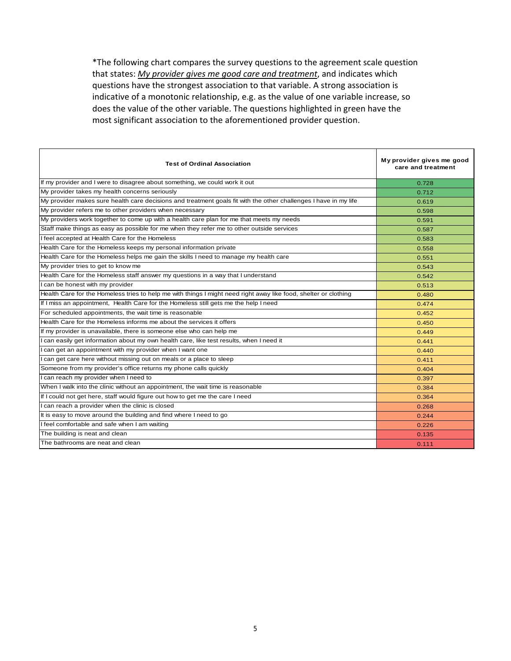\*The following chart compares the survey questions to the agreement scale question that states: *My provider gives me good care and treatment*, and indicates which questions have the strongest association to that variable. A strong association is indicative of a monotonic relationship, e.g. as the value of one variable increase, so does the value of the other variable. The questions highlighted in green have the most significant association to the aforementioned provider question.

| <b>Test of Ordinal Association</b>                                                                               | My provider gives me good<br>care and treatment |
|------------------------------------------------------------------------------------------------------------------|-------------------------------------------------|
| If my provider and I were to disagree about something, we could work it out                                      | 0.728                                           |
| My provider takes my health concerns seriously                                                                   | 0.712                                           |
| My provider makes sure health care decisions and treatment goals fit with the other challenges I have in my life | 0.619                                           |
| My provider refers me to other providers when necessary                                                          | 0.598                                           |
| My providers work together to come up with a health care plan for me that meets my needs                         | 0.591                                           |
| Staff make things as easy as possible for me when they refer me to other outside services                        | 0.587                                           |
| I feel accepted at Health Care for the Homeless                                                                  | 0.583                                           |
| Health Care for the Homeless keeps my personal information private                                               | 0.558                                           |
| Health Care for the Homeless helps me gain the skills I need to manage my health care                            | 0.551                                           |
| My provider tries to get to know me                                                                              | 0.543                                           |
| Health Care for the Homeless staff answer my questions in a way that I understand                                | 0.542                                           |
| I can be honest with my provider                                                                                 | 0.513                                           |
| Health Care for the Homeless tries to help me with things I might need right away like food, shelter or clothing | 0.480                                           |
| If I miss an appointment, Health Care for the Homeless still gets me the help I need                             | 0.474                                           |
| For scheduled appointments, the wait time is reasonable                                                          | 0.452                                           |
| Health Care for the Homeless informs me about the services it offers                                             | 0.450                                           |
| If my provider is unavailable, there is someone else who can help me                                             | 0.449                                           |
| I can easily get information about my own health care, like test results, when I need it                         | 0.441                                           |
| I can get an appointment with my provider when I want one                                                        | 0.440                                           |
| I can get care here without missing out on meals or a place to sleep                                             | 0.411                                           |
| Someone from my provider's office returns my phone calls quickly                                                 | 0.404                                           |
| I can reach my provider when I need to                                                                           | 0.397                                           |
| When I walk into the clinic without an appointment, the wait time is reasonable                                  | 0.384                                           |
| If I could not get here, staff would figure out how to get me the care I need                                    | 0.364                                           |
| I can reach a provider when the clinic is closed                                                                 | 0.268                                           |
| It is easy to move around the building and find where I need to go                                               | 0.244                                           |
| I feel comfortable and safe when I am waiting                                                                    | 0.226                                           |
| The building is neat and clean                                                                                   | 0.135                                           |
| The bathrooms are neat and clean                                                                                 | 0.111                                           |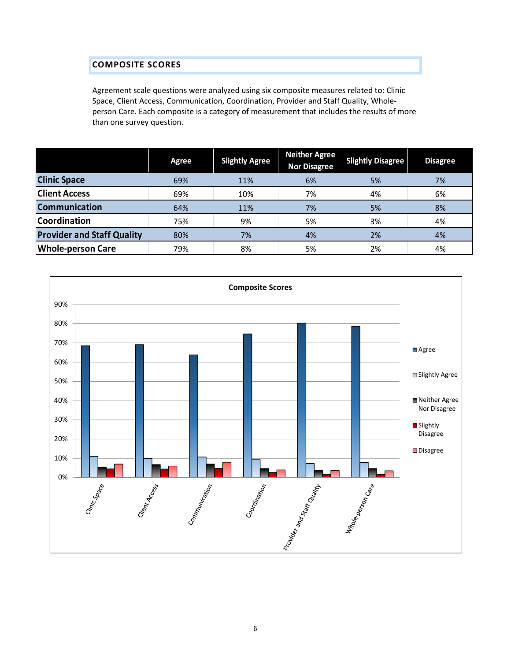### **COMPOSITE SCORES**

Agreement scale questions were analyzed using six composite measures related to: Clinic Space, Client Access, Communication, Coordination, Provider and Staff Quality, Whole‐ person Care. Each composite is a category of measurement that includes the results of more than one survey question.

|                                   | Agree | <b>Slightly Agree</b> | Neither Agree<br><b>Nor Disagree</b> | <b>Slightly Disagree</b> | <b>Disagree</b> |
|-----------------------------------|-------|-----------------------|--------------------------------------|--------------------------|-----------------|
| <b>Clinic Space</b>               | 69%   | 11%                   | 6%                                   | 5%                       | 7%              |
| <b>Client Access</b>              | 69%   | 10%                   | 7%                                   | 4%                       | 6%              |
| <b>Communication</b>              | 64%   | 11%                   | 7%                                   | 5%                       | 8%              |
| <b>Coordination</b>               | 75%   | 9%                    | 5%                                   | 3%                       | 4%              |
| <b>Provider and Staff Quality</b> | 80%   | 7%                    | 4%                                   | 2%                       | 4%              |
| <b>Whole-person Care</b>          | 79%   | 8%                    | 5%                                   | 2%                       | 4%              |

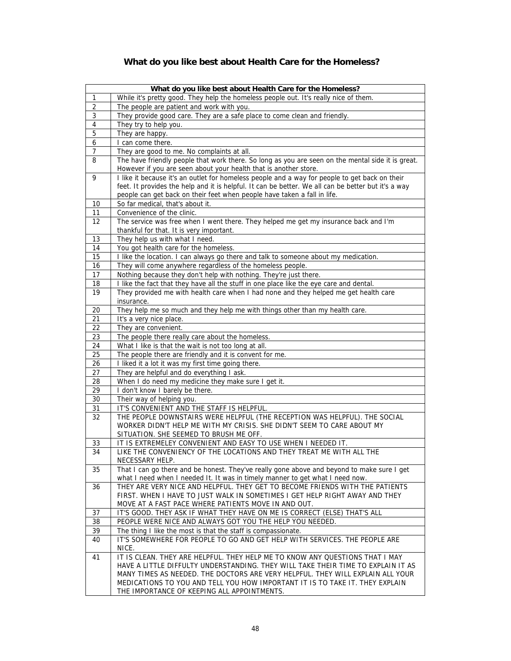## **What do you like best about Health Care for the Homeless?**

|                 | What do you like best about Health Care for the Homeless?                                           |
|-----------------|-----------------------------------------------------------------------------------------------------|
| 1               | While it's pretty good. They help the homeless people out. It's really nice of them.                |
| $\overline{2}$  | The people are patient and work with you.                                                           |
| $\mathsf 3$     | They provide good care. They are a safe place to come clean and friendly.                           |
| 4               | They try to help you.                                                                               |
| $\overline{5}$  | They are happy.                                                                                     |
| 6               | I can come there.                                                                                   |
| 7               | They are good to me. No complaints at all.                                                          |
| 8               | The have friendly people that work there. So long as you are seen on the mental side it is great.   |
|                 | However if you are seen about your health that is another store.                                    |
| 9               | I like it because it's an outlet for homeless people and a way for people to get back on their      |
|                 | feet. It provides the help and it is helpful. It can be better. We all can be better but it's a way |
|                 | people can get back on their feet when people have taken a fall in life.                            |
| 10              | So far medical, that's about it.                                                                    |
| 11              | Convenience of the clinic.                                                                          |
| 12              | The service was free when I went there. They helped me get my insurance back and I'm                |
|                 | thankful for that. It is very important.                                                            |
| 13              | They help us with what I need.                                                                      |
| 14              | You got health care for the homeless.                                                               |
| 15              | I like the location. I can always go there and talk to someone about my medication.                 |
| 16              | They will come anywhere regardless of the homeless people.                                          |
| 17              | Nothing because they don't help with nothing. They're just there.                                   |
| 18              | I like the fact that they have all the stuff in one place like the eye care and dental.             |
| $\overline{19}$ | They provided me with health care when I had none and they helped me get health care                |
|                 | insurance.                                                                                          |
| 20              | They help me so much and they help me with things other than my health care.                        |
| 21              | It's a very nice place.                                                                             |
| 22              | They are convenient.                                                                                |
| 23              | The people there really care about the homeless.                                                    |
| 24              | What I like is that the wait is not too long at all.                                                |
| 25              | The people there are friendly and it is convent for me.                                             |
| 26              | I liked it a lot it was my first time going there.                                                  |
| 27<br>28        | They are helpful and do everything I ask.                                                           |
| 29              | When I do need my medicine they make sure I get it.<br>I don't know I barely be there.              |
| 30              | Their way of helping you.                                                                           |
| 31              | IT'S CONVENIENT AND THE STAFF IS HELPFUL.                                                           |
| 32              | THE PEOPLE DOWNSTAIRS WERE HELPFUL (THE RECEPTION WAS HELPFUL). THE SOCIAL                          |
|                 | WORKER DIDN'T HELP ME WITH MY CRISIS. SHE DIDN'T SEEM TO CARE ABOUT MY                              |
|                 | SITUATION. SHE SEEMED TO BRUSH ME OFF.                                                              |
| 33              | IT IS EXTREMELEY CONVENIENT AND EASY TO USE WHEN I NEEDED IT.                                       |
| 34              | LIKE THE CONVENIENCY OF THE LOCATIONS AND THEY TREAT ME WITH ALL THE                                |
|                 | NECESSARY HELP.                                                                                     |
| 35              | That I can go there and be honest. They've really gone above and beyond to make sure I get          |
|                 | what I need when I needed It. It was in timely manner to get what I need now.                       |
| 36              | THEY ARE VERY NICE AND HELPFUL. THEY GET TO BECOME FRIENDS WITH THE PATIENTS                        |
|                 | FIRST. WHEN I HAVE TO JUST WALK IN SOMETIMES I GET HELP RIGHT AWAY AND THEY                         |
|                 | MOVE AT A FAST PACE WHERE PATIENTS MOVE IN AND OUT.                                                 |
| 37              | IT'S GOOD. THEY ASK IF WHAT THEY HAVE ON ME IS CORRECT (ELSE) THAT'S ALL                            |
| 38              | PEOPLE WERE NICE AND ALWAYS GOT YOU THE HELP YOU NEEDED.                                            |
| 39              | The thing I like the most is that the staff is compassionate.                                       |
| 40              | IT'S SOMEWHERE FOR PEOPLE TO GO AND GET HELP WITH SERVICES. THE PEOPLE ARE                          |
|                 | NICE.                                                                                               |
| 41              | IT IS CLEAN. THEY ARE HELPFUL. THEY HELP ME TO KNOW ANY QUESTIONS THAT I MAY                        |
|                 | HAVE A LITTLE DIFFULTY UNDERSTANDING. THEY WILL TAKE THEIR TIME TO EXPLAIN IT AS                    |
|                 | MANY TIMES AS NEEDED. THE DOCTORS ARE VERY HELPFUL. THEY WILL EXPLAIN ALL YOUR                      |
|                 | MEDICATIONS TO YOU AND TELL YOU HOW IMPORTANT IT IS TO TAKE IT. THEY EXPLAIN                        |
|                 | THE IMPORTANCE OF KEEPING ALL APPOINTMENTS.                                                         |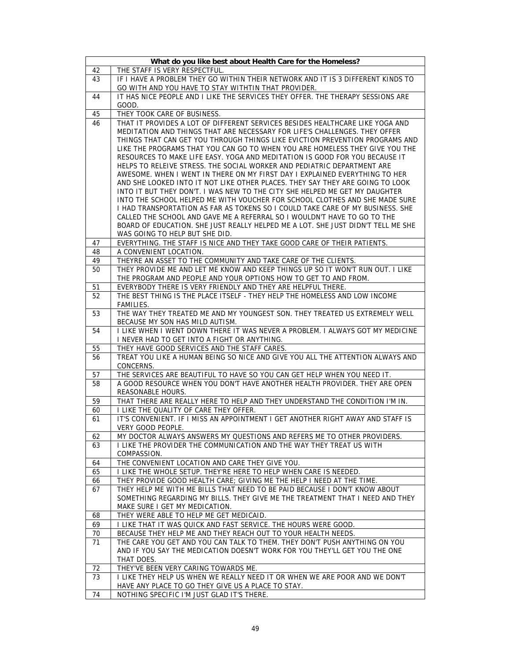|          | What do you like best about Health Care for the Homeless?                                                                                        |
|----------|--------------------------------------------------------------------------------------------------------------------------------------------------|
| 42       | THE STAFF IS VERY RESPECTFUL.                                                                                                                    |
| 43       | IF I HAVE A PROBLEM THEY GO WITHIN THEIR NETWORK AND IT IS 3 DIFFERENT KINDS TO                                                                  |
|          | GO WITH AND YOU HAVE TO STAY WITHTIN THAT PROVIDER.                                                                                              |
| 44       | IT HAS NICE PEOPLE AND I LIKE THE SERVICES THEY OFFER. THE THERAPY SESSIONS ARE                                                                  |
|          | GOOD.                                                                                                                                            |
| 45       | THEY TOOK CARE OF BUSINESS.                                                                                                                      |
| 46       | THAT IT PROVIDES A LOT OF DIFFERENT SERVICES BESIDES HEALTHCARE LIKE YOGA AND                                                                    |
|          | MEDITATION AND THINGS THAT ARE NECESSARY FOR LIFE'S CHALLENGES. THEY OFFER                                                                       |
|          | THINGS THAT CAN GET YOU THROUGH THINGS LIKE EVICTION PREVENTION PROGRAMS AND                                                                     |
|          | LIKE THE PROGRAMS THAT YOU CAN GO TO WHEN YOU ARE HOMELESS THEY GIVE YOU THE                                                                     |
|          | RESOURCES TO MAKE LIFE EASY. YOGA AND MEDITATION IS GOOD FOR YOU BECAUSE IT                                                                      |
|          | HELPS TO RELEIVE STRESS. THE SOCIAL WORKER AND PEDIATRIC DEPARTMENT ARE                                                                          |
|          | AWESOME. WHEN I WENT IN THERE ON MY FIRST DAY I EXPLAINED EVERYTHING TO HER                                                                      |
|          | AND SHE LOOKED INTO IT NOT LIKE OTHER PLACES. THEY SAY THEY ARE GOING TO LOOK                                                                    |
|          | INTO IT BUT THEY DON'T. I WAS NEW TO THE CITY SHE HELPED ME GET MY DAUGHTER                                                                      |
|          | INTO THE SCHOOL HELPED ME WITH VOUCHER FOR SCHOOL CLOTHES AND SHE MADE SURE                                                                      |
|          | I HAD TRANSPORTATION AS FAR AS TOKENS SO I COULD TAKE CARE OF MY BUSINESS. SHE                                                                   |
|          | CALLED THE SCHOOL AND GAVE ME A REFERRAL SO I WOULDN'T HAVE TO GO TO THE                                                                         |
|          | BOARD OF EDUCATION. SHE JUST REALLY HELPED ME A LOT. SHE JUST DIDN'T TELL ME SHE                                                                 |
|          | WAS GOING TO HELP BUT SHE DID.                                                                                                                   |
| 47       | EVERYTHING. THE STAFF IS NICE AND THEY TAKE GOOD CARE OF THEIR PATIENTS.                                                                         |
| 48       | A CONVENIENT LOCATION.                                                                                                                           |
| 49<br>50 | THEYRE AN ASSET TO THE COMMUNITY AND TAKE CARE OF THE CLIENTS.<br>THEY PROVIDE ME AND LET ME KNOW AND KEEP THINGS UP SO IT WON'T RUN OUT. I LIKE |
|          | THE PROGRAM AND PEOPLE AND YOUR OPTIONS HOW TO GET TO AND FROM.                                                                                  |
| 51       | EVERYBODY THERE IS VERY FRIENDLY AND THEY ARE HELPFUL THERE.                                                                                     |
| 52       | THE BEST THING IS THE PLACE ITSELF - THEY HELP THE HOMELESS AND LOW INCOME                                                                       |
|          | FAMILIES.                                                                                                                                        |
| 53       | THE WAY THEY TREATED ME AND MY YOUNGEST SON. THEY TREATED US EXTREMELY WELL                                                                      |
|          | BECAUSE MY SON HAS MILD AUTISM.                                                                                                                  |
| 54       | I LIKE WHEN I WENT DOWN THERE IT WAS NEVER A PROBLEM. I ALWAYS GOT MY MEDICINE                                                                   |
|          | I NEVER HAD TO GET INTO A FIGHT OR ANYTHING.                                                                                                     |
| 55       | THEY HAVE GOOD SERVICES AND THE STAFF CARES.                                                                                                     |
| 56       | TREAT YOU LIKE A HUMAN BEING SO NICE AND GIVE YOU ALL THE ATTENTION ALWAYS AND                                                                   |
|          | CONCERNS.                                                                                                                                        |
| 57       | THE SERVICES ARE BEAUTIFUL TO HAVE SO YOU CAN GET HELP WHEN YOU NEED IT.                                                                         |
| 58       | A GOOD RESOURCE WHEN YOU DON'T HAVE ANOTHER HEALTH PROVIDER. THEY ARE OPEN                                                                       |
|          | REASONABLE HOURS.                                                                                                                                |
| 59       | THAT THERE ARE REALLY HERE TO HELP AND THEY UNDERSTAND THE CONDITION I'M IN.                                                                     |
| 60       | I LIKE THE QUALITY OF CARE THEY OFFER.                                                                                                           |
| 61       | IT'S CONVENIENT. IF I MISS AN APPOINTMENT I GET ANOTHER RIGHT AWAY AND STAFF IS<br>VERY GOOD PEOPLE.                                             |
|          |                                                                                                                                                  |
| 62<br>63 | MY DOCTOR ALWAYS ANSWERS MY QUESTIONS AND REFERS ME TO OTHER PROVIDERS.<br>I LIKE THE PROVIDER THE COMMUNICATION AND THE WAY THEY TREAT US WITH  |
|          | COMPASSION.                                                                                                                                      |
| 64       | THE CONVENIENT LOCATION AND CARE THEY GIVE YOU.                                                                                                  |
| 65       | I LIKE THE WHOLE SETUP. THEY'RE HERE TO HELP WHEN CARE IS NEEDED.                                                                                |
| 66       | THEY PROVIDE GOOD HEALTH CARE; GIVING ME THE HELP I NEED AT THE TIME.                                                                            |
| 67       | THEY HELP ME WITH ME BILLS THAT NEED TO BE PAID BECAUSE I DON'T KNOW ABOUT                                                                       |
|          | SOMETHING REGARDING MY BILLS. THEY GIVE ME THE TREATMENT THAT I NEED AND THEY                                                                    |
|          | MAKE SURE I GET MY MEDICATION.                                                                                                                   |
| 68       | THEY WERE ABLE TO HELP ME GET MEDICAID.                                                                                                          |
| 69       | I LIKE THAT IT WAS QUICK AND FAST SERVICE. THE HOURS WERE GOOD.                                                                                  |
| 70       | BECAUSE THEY HELP ME AND THEY REACH OUT TO YOUR HEALTH NEEDS.                                                                                    |
| 71       | THE CARE YOU GET AND YOU CAN TALK TO THEM. THEY DON'T PUSH ANYTHING ON YOU                                                                       |
|          | AND IF YOU SAY THE MEDICATION DOESN'T WORK FOR YOU THEY'LL GET YOU THE ONE                                                                       |
|          | THAT DOES.                                                                                                                                       |
| 72       | THEY'VE BEEN VERY CARING TOWARDS ME.                                                                                                             |
| 73       | I LIKE THEY HELP US WHEN WE REALLY NEED IT OR WHEN WE ARE POOR AND WE DON'T                                                                      |
|          | HAVE ANY PLACE TO GO THEY GIVE US A PLACE TO STAY.                                                                                               |
| 74       | NOTHING SPECIFIC I'M JUST GLAD IT'S THERE.                                                                                                       |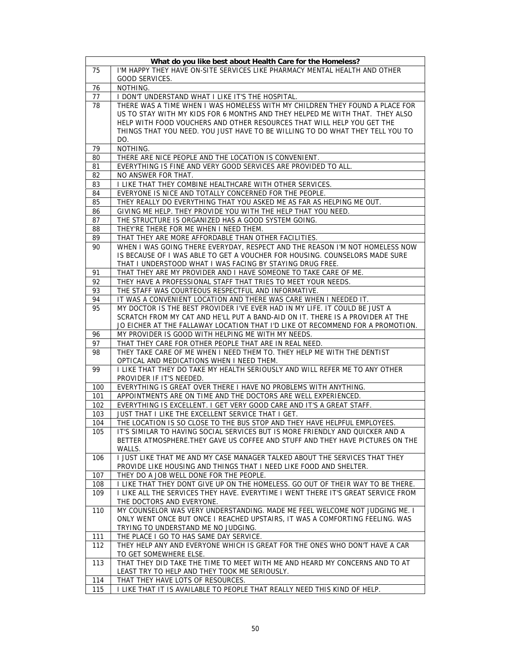|     | What do you like best about Health Care for the Homeless?                         |
|-----|-----------------------------------------------------------------------------------|
| 75  | I'M HAPPY THEY HAVE ON-SITE SERVICES LIKE PHARMACY MENTAL HEALTH AND OTHER        |
|     | GOOD SERVICES.                                                                    |
| 76  | NOTHING.                                                                          |
| 77  | I DON'T UNDERSTAND WHAT I LIKE IT'S THE HOSPITAL.                                 |
| 78  | THERE WAS A TIME WHEN I WAS HOMELESS WITH MY CHILDREN THEY FOUND A PLACE FOR      |
|     | US TO STAY WITH MY KIDS FOR 6 MONTHS AND THEY HELPED ME WITH THAT. THEY ALSO      |
|     | HELP WITH FOOD VOUCHERS AND OTHER RESOURCES THAT WILL HELP YOU GET THE            |
|     | THINGS THAT YOU NEED. YOU JUST HAVE TO BE WILLING TO DO WHAT THEY TELL YOU TO     |
|     | DO.                                                                               |
| 79  | NOTHING.                                                                          |
| 80  | THERE ARE NICE PEOPLE AND THE LOCATION IS CONVENIENT.                             |
| 81  | EVERYTHING IS FINE AND VERY GOOD SERVICES ARE PROVIDED TO ALL.                    |
| 82  | NO ANSWER FOR THAT.                                                               |
| 83  | I LIKE THAT THEY COMBINE HEALTHCARE WITH OTHER SERVICES.                          |
| 84  | EVERYONE IS NICE AND TOTALLY CONCERNED FOR THE PEOPLE.                            |
| 85  | THEY REALLY DO EVERYTHING THAT YOU ASKED ME AS FAR AS HELPING ME OUT.             |
| 86  | GIVING ME HELP. THEY PROVIDE YOU WITH THE HELP THAT YOU NEED.                     |
| 87  | THE STRUCTURE IS ORGANIZED HAS A GOOD SYSTEM GOING.                               |
| 88  | THEY'RE THERE FOR ME WHEN I NEED THEM.                                            |
| 89  | THAT THEY ARE MORE AFFORDABLE THAN OTHER FACILITIES.                              |
| 90  | WHEN I WAS GOING THERE EVERYDAY, RESPECT AND THE REASON I'M NOT HOMELESS NOW      |
|     | IS BECAUSE OF I WAS ABLE TO GET A VOUCHER FOR HOUSING. COUNSELORS MADE SURE       |
|     | THAT I UNDERSTOOD WHAT I WAS FACING BY STAYING DRUG FREE.                         |
| 91  | THAT THEY ARE MY PROVIDER AND I HAVE SOMEONE TO TAKE CARE OF ME.                  |
| 92  | THEY HAVE A PROFESSIONAL STAFF THAT TRIES TO MEET YOUR NEEDS.                     |
| 93  | THE STAFF WAS COURTEOUS RESPECTFUL AND INFORMATIVE.                               |
| 94  | IT WAS A CONVENIENT LOCATION AND THERE WAS CARE WHEN I NEEDED IT.                 |
| 95  | MY DOCTOR IS THE BEST PROVIDER I'VE EVER HAD IN MY LIFE. IT COULD BE JUST A       |
|     | SCRATCH FROM MY CAT AND HE'LL PUT A BAND-AID ON IT. THERE IS A PROVIDER AT THE    |
|     | JO EICHER AT THE FALLAWAY LOCATION THAT I'D LIKE OT RECOMMEND FOR A PROMOTION.    |
| 96  | MY PROVIDER IS GOOD WITH HELPING ME WITH MY NEEDS.                                |
| 97  | THAT THEY CARE FOR OTHER PEOPLE THAT ARE IN REAL NEED.                            |
| 98  | THEY TAKE CARE OF ME WHEN I NEED THEM TO. THEY HELP ME WITH THE DENTIST           |
|     | OPTICAL AND MEDICATIONS WHEN I NEED THEM.                                         |
| 99  | I LIKE THAT THEY DO TAKE MY HEALTH SERIOUSLY AND WILL REFER ME TO ANY OTHER       |
|     | PROVIDER IF IT'S NEEDED.                                                          |
| 100 | EVERYTHING IS GREAT OVER THERE I HAVE NO PROBLEMS WITH ANYTHING.                  |
| 101 | APPOINTMENTS ARE ON TIME AND THE DOCTORS ARE WELL EXPERIENCED.                    |
| 102 | EVERYTHING IS EXCELLENT. I GET VERY GOOD CARE AND IT'S A GREAT STAFF.             |
| 103 | JUST THAT I LIKE THE EXCELLENT SERVICE THAT I GET.                                |
| 104 | THE LOCATION IS SO CLOSE TO THE BUS STOP AND THEY HAVE HELPFUL EMPLOYEES.         |
| 105 | IT'S SIMILAR TO HAVING SOCIAL SERVICES BUT IS MORE FRIENDLY AND QUICKER AND A     |
|     | BETTER ATMOSPHERE. THEY GAVE US COFFEE AND STUFF AND THEY HAVE PICTURES ON THE    |
|     | WALLS.                                                                            |
| 106 | I JUST LIKE THAT ME AND MY CASE MANAGER TALKED ABOUT THE SERVICES THAT THEY       |
|     | PROVIDE LIKE HOUSING AND THINGS THAT I NEED LIKE FOOD AND SHELTER.                |
| 107 | THEY DO A JOB WELL DONE FOR THE PEOPLE.                                           |
| 108 | I LIKE THAT THEY DONT GIVE UP ON THE HOMELESS. GO OUT OF THEIR WAY TO BE THERE.   |
| 109 | I LIKE ALL THE SERVICES THEY HAVE. EVERYTIME I WENT THERE IT'S GREAT SERVICE FROM |
|     | THE DOCTORS AND EVERYONE.                                                         |
| 110 | MY COUNSELOR WAS VERY UNDERSTANDING. MADE ME FEEL WELCOME NOT JUDGING ME. I       |
|     | ONLY WENT ONCE BUT ONCE I REACHED UPSTAIRS, IT WAS A COMFORTING FEELING. WAS      |
|     | TRYING TO UNDERSTAND ME NO JUDGING.                                               |
| 111 | THE PLACE I GO TO HAS SAME DAY SERVICE.                                           |
| 112 | THEY HELP ANY AND EVERYONE WHICH IS GREAT FOR THE ONES WHO DON'T HAVE A CAR       |
|     | TO GET SOMEWHERE ELSE.                                                            |
| 113 | THAT THEY DID TAKE THE TIME TO MEET WITH ME AND HEARD MY CONCERNS AND TO AT       |
|     | LEAST TRY TO HELP AND THEY TOOK ME SERIOUSLY.                                     |
| 114 | THAT THEY HAVE LOTS OF RESOURCES.                                                 |
| 115 | I LIKE THAT IT IS AVAILABLE TO PEOPLE THAT REALLY NEED THIS KIND OF HELP.         |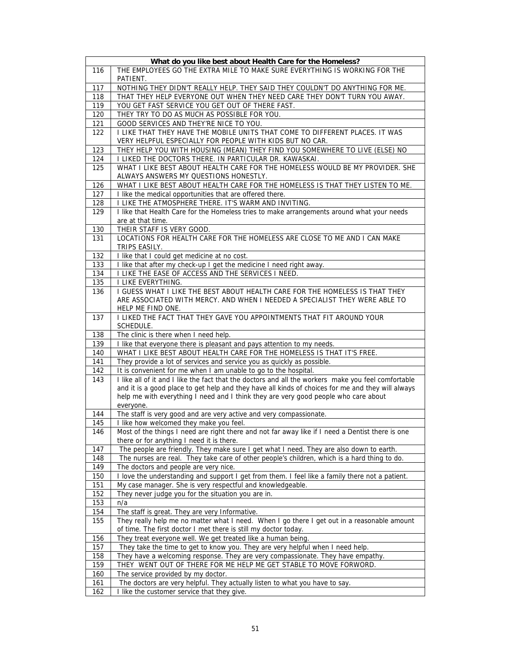|            | What do you like best about Health Care for the Homeless?                                           |
|------------|-----------------------------------------------------------------------------------------------------|
| 116        | THE EMPLOYEES GO THE EXTRA MILE TO MAKE SURE EVERYTHING IS WORKING FOR THE<br>PATIENT.              |
| 117        | NOTHING THEY DIDN'T REALLY HELP. THEY SAID THEY COULDN'T DO ANYTHING FOR ME.                        |
| 118        | THAT THEY HELP EVERYONE OUT WHEN THEY NEED CARE THEY DON'T TURN YOU AWAY.                           |
| 119        | YOU GET FAST SERVICE YOU GET OUT OF THERE FAST.                                                     |
| 120        | THEY TRY TO DO AS MUCH AS POSSIBLE FOR YOU.                                                         |
| 121        | GOOD SERVICES AND THEY'RE NICE TO YOU.                                                              |
| 122        | I LIKE THAT THEY HAVE THE MOBILE UNITS THAT COME TO DIFFERENT PLACES. IT WAS                        |
|            | VERY HELPFUL ESPECIALLY FOR PEOPLE WITH KIDS BUT NO CAR.                                            |
| 123        | THEY HELP YOU WITH HOUSING (MEAN) THEY FIND YOU SOMEWHERE TO LIVE (ELSE) NO                         |
| 124        | I LIKED THE DOCTORS THERE. IN PARTICULAR DR. KAWASKAI.                                              |
| 125        | WHAT I LIKE BEST ABOUT HEALTH CARE FOR THE HOMELESS WOULD BE MY PROVIDER. SHE                       |
|            | ALWAYS ANSWERS MY QUESTIONS HONESTLY.                                                               |
| 126        | WHAT I LIKE BEST ABOUT HEALTH CARE FOR THE HOMELESS IS THAT THEY LISTEN TO ME.                      |
| 127        | I like the medical opportunities that are offered there.                                            |
| 128        | I LIKE THE ATMOSPHERE THERE. IT'S WARM AND INVITING.                                                |
| 129        | I like that Health Care for the Homeless tries to make arrangements around what your needs          |
|            | are at that time.                                                                                   |
| 130        | THEIR STAFF IS VERY GOOD.                                                                           |
| 131        | LOCATIONS FOR HEALTH CARE FOR THE HOMELESS ARE CLOSE TO ME AND I CAN MAKE                           |
|            | TRIPS EASILY.                                                                                       |
| 132        | I like that I could get medicine at no cost.                                                        |
| 133        | I like that after my check-up I get the medicine I need right away.                                 |
| 134        | I LIKE THE EASE OF ACCESS AND THE SERVICES I NEED.                                                  |
| 135        | I LIKE EVERYTHING.                                                                                  |
| 136        | I GUESS WHAT I LIKE THE BEST ABOUT HEALTH CARE FOR THE HOMELESS IS THAT THEY                        |
|            | ARE ASSOCIATED WITH MERCY. AND WHEN I NEEDED A SPECIALIST THEY WERE ABLE TO                         |
|            | HELP ME FIND ONE.<br>I LIKED THE FACT THAT THEY GAVE YOU APPOINTMENTS THAT FIT AROUND YOUR          |
| 137        | SCHEDULE.                                                                                           |
| 138        | The clinic is there when I need help.                                                               |
| 139        | I like that everyone there is pleasant and pays attention to my needs.                              |
| 140        | WHAT I LIKE BEST ABOUT HEALTH CARE FOR THE HOMELESS IS THAT IT'S FREE.                              |
| 141        | They provide a lot of services and service you as quickly as possible.                              |
| 142        | It is convenient for me when I am unable to go to the hospital.                                     |
| 143        | I like all of it and I like the fact that the doctors and all the workers make you feel comfortable |
|            | and it is a good place to get help and they have all kinds of choices for me and they will always   |
|            | help me with everything I need and I think they are very good people who care about                 |
|            | everyone.                                                                                           |
| 144        | The staff is very good and are very active and very compassionate.                                  |
| 145        | I like how welcomed they make you feel.                                                             |
| 146        | Most of the things I need are right there and not far away like if I need a Dentist there is one    |
|            | there or for anything I need it is there.                                                           |
| 147        | The people are friendly. They make sure I get what I need. They are also down to earth.             |
| 148        | The nurses are real. They take care of other people's children, which is a hard thing to do.        |
| 149        | The doctors and people are very nice.                                                               |
| 150        | I love the understanding and support I get from them. I feel like a family there not a patient.     |
| 151        | My case manager. She is very respectful and knowledgeable.                                          |
| 152        | They never judge you for the situation you are in.                                                  |
| 153<br>154 | n/a<br>The staff is great. They are very Informative.                                               |
| 155        | They really help me no matter what I need. When I go there I get out in a reasonable amount         |
|            | of time. The first doctor I met there is still my doctor today.                                     |
| 156        | They treat everyone well. We get treated like a human being.                                        |
| 157        | They take the time to get to know you. They are very helpful when I need help.                      |
| 158        | They have a welcoming response. They are very compassionate. They have empathy.                     |
| 159        | THEY WENT OUT OF THERE FOR ME HELP ME GET STABLE TO MOVE FORWORD.                                   |
|            |                                                                                                     |
| 160        | The service provided by my doctor.                                                                  |
| 161        | The doctors are very helpful. They actually listen to what you have to say.                         |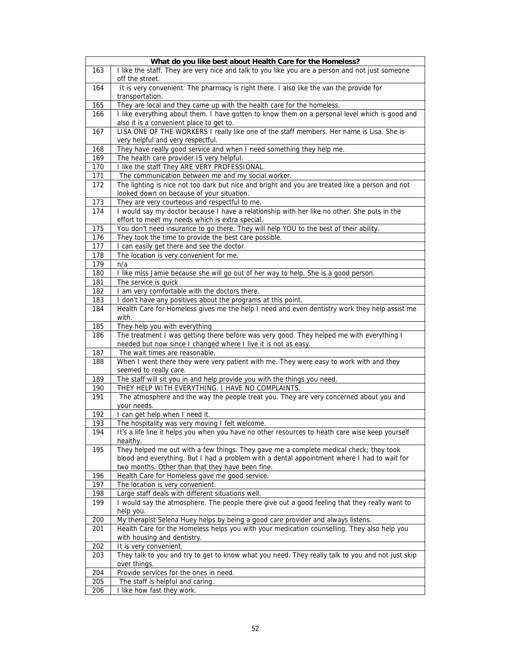|            | What do you like best about Health Care for the Homeless?                                                                                                                             |
|------------|---------------------------------------------------------------------------------------------------------------------------------------------------------------------------------------|
| 163        | I like the staff. They are very nice and talk to you like you are a person and not just someone<br>off the street.                                                                    |
| 164        | It is very convenient. The pharmacy is right there. I also like the van the provide for<br>transportation.                                                                            |
| 165        | They are local and they came up with the health care for the homeless.                                                                                                                |
| 166        | I like everything about them. I have gotten to know them on a personal level which is good and<br>also it is a convenient place to get to.                                            |
| 167        | LISA ONE OF THE WORKERS I really like one of the staff members. Her name is Lisa. She is<br>very helpful and very respectful.                                                         |
| 168        | They have really good service and when I need something they help me.                                                                                                                 |
| 169        | The health care provider IS very helpful.                                                                                                                                             |
| 170        | I like the staff They ARE VERY PROFESSIONAL.                                                                                                                                          |
| 171        | The communication between me and my social worker.                                                                                                                                    |
| 172        | The lighting is nice not too dark but nice and bright and you are treated like a person and not<br>looked down on because of your situation.                                          |
| 173        | They are very courteous and respectful to me.                                                                                                                                         |
| 174        | I would say my doctor because I have a relationship with her like no other. She puts in the<br>effort to meet my needs which is extra special.                                        |
| 175        | You don't need insurance to go there. They will help YOU to the best of their ability.                                                                                                |
| 176        | They took the time to provide the best care possible.                                                                                                                                 |
| 177        | I can easily get there and see the doctor.                                                                                                                                            |
| 178        | The location is very convenient for me.                                                                                                                                               |
| 179        | n/a                                                                                                                                                                                   |
| 180        | I like miss Jamie because she will go out of her way to help. She is a good person.                                                                                                   |
| 181        | The service is quick                                                                                                                                                                  |
| 182        | I am very comfortable with the doctors there.                                                                                                                                         |
| 183        | I don't have any positives about the programs at this point.                                                                                                                          |
| 184        | Health Care for Homeless gives me the help I need and even dentistry work they help assist me<br>with.                                                                                |
| 185        | They help you with everything                                                                                                                                                         |
| 186        | The treatment I was getting there before was very good. They helped me with everything I<br>needed but now since I changed where I live it is not as easy.                            |
| 187        | The wait times are reasonable.                                                                                                                                                        |
| 188        | When I went there they were very patient with me. They were easy to work with and they<br>seemed to really care.                                                                      |
| 189<br>190 | The staff will sit you in and help provide you with the things you need.<br>THEY HELP WITH EVERYTHING. I HAVE NO COMPLAINTS.                                                          |
| 191        | The atmosphere and the way the people treat you. They are very concerned about you and<br>your needs.                                                                                 |
| 192        | I can get help when I need it.                                                                                                                                                        |
| 193        | The hospitality was very moving I felt welcome.                                                                                                                                       |
| 194        | It's a life line it helps you when you have no other resources to heath care wise keep yourself<br>healthy.                                                                           |
| 195        | They helped me out with a few things. They gave me a complete medical check; they took<br>blood and everything. But I had a problem with a dental appointment where I had to wait for |
|            | two months. Other than that they have been fine.                                                                                                                                      |
| 196        | Health Care for Homeless gave me good service.                                                                                                                                        |
| 197        | The location is very convenient.                                                                                                                                                      |
| 198<br>199 | Large staff deals with different situations well.<br>I would say the atmosphere. The people there give out a good feeling that they really want to                                    |
|            | help you.                                                                                                                                                                             |
| 200        | My therapist Selena Huey helps by being a good care provider and always listens.                                                                                                      |
| 201        | Health Care for the Homeless helps you with your medication counselling. They also help you                                                                                           |
|            | with housing and dentistry.                                                                                                                                                           |
| 202        | It is very convenient.<br>They talk to you and try to get to know what you need. They really talk to you and not just skip                                                            |
| 203        | over things.                                                                                                                                                                          |
| 204        | Provide services for the ones in need.                                                                                                                                                |
| 205        | The staff is helpful and caring.                                                                                                                                                      |
| 206        | I like how fast they work.                                                                                                                                                            |
|            |                                                                                                                                                                                       |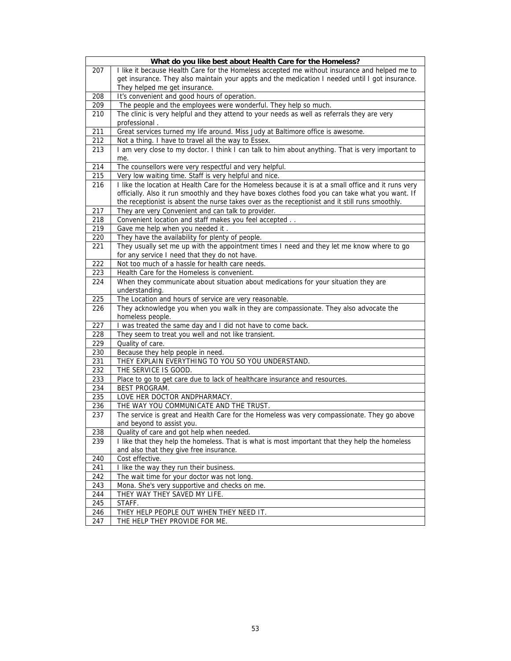|     | What do you like best about Health Care for the Homeless?                                                |
|-----|----------------------------------------------------------------------------------------------------------|
| 207 | I like it because Health Care for the Homeless accepted me without insurance and helped me to            |
|     | get insurance. They also maintain your appts and the medication I needed until I got insurance.          |
|     | They helped me get insurance.                                                                            |
| 208 | It's convenient and good hours of operation.                                                             |
| 209 | The people and the employees were wonderful. They help so much.                                          |
| 210 | The clinic is very helpful and they attend to your needs as well as referrals they are very              |
|     | professional.                                                                                            |
| 211 | Great services turned my life around. Miss Judy at Baltimore office is awesome.                          |
| 212 | Not a thing. I have to travel all the way to Essex.                                                      |
| 213 | I am very close to my doctor. I think I can talk to him about anything. That is very important to<br>me. |
| 214 | The counsellors were very respectful and very helpful.                                                   |
| 215 | Very low waiting time. Staff is very helpful and nice.                                                   |
| 216 | I like the location at Health Care for the Homeless because it is at a small office and it runs very     |
|     | officially. Also it run smoothly and they have boxes clothes food you can take what you want. If         |
|     | the receptionist is absent the nurse takes over as the receptionist and it still runs smoothly.          |
| 217 | They are very Convenient and can talk to provider.                                                       |
| 218 | Convenient location and staff makes you feel accepted                                                    |
| 219 | Gave me help when you needed it                                                                          |
| 220 | They have the availability for plenty of people.                                                         |
| 221 | They usually set me up with the appointment times I need and they let me know where to go                |
|     | for any service I need that they do not have.                                                            |
| 222 | Not too much of a hassle for health care needs.                                                          |
| 223 | Health Care for the Homeless is convenient.                                                              |
| 224 | When they communicate about situation about medications for your situation they are                      |
|     | understanding.                                                                                           |
| 225 | The Location and hours of service are very reasonable.                                                   |
| 226 | They acknowledge you when you walk in they are compassionate. They also advocate the<br>homeless people. |
| 227 | I was treated the same day and I did not have to come back.                                              |
| 228 | They seem to treat you well and not like transient.                                                      |
| 229 | Quality of care.                                                                                         |
| 230 | Because they help people in need.                                                                        |
| 231 | THEY EXPLAIN EVERYTHING TO YOU SO YOU UNDERSTAND.                                                        |
| 232 | THE SERVICE IS GOOD.                                                                                     |
| 233 | Place to go to get care due to lack of healthcare insurance and resources.                               |
| 234 | BEST PROGRAM.                                                                                            |
| 235 | LOVE HER DOCTOR ANDPHARMACY.                                                                             |
| 236 | THE WAY YOU COMMUNICATE AND THE TRUST.                                                                   |
| 237 | The service is great and Health Care for the Homeless was very compassionate. They go above              |
|     | and beyond to assist you.                                                                                |
| 238 | Quality of care and got help when needed.                                                                |
| 239 | I like that they help the homeless. That is what is most important that they help the homeless           |
|     | and also that they give free insurance.                                                                  |
| 240 | Cost effective.                                                                                          |
| 241 | I like the way they run their business.                                                                  |
| 242 | The wait time for your doctor was not long.                                                              |
| 243 | Mona. She's very supportive and checks on me.                                                            |
| 244 | THEY WAY THEY SAVED MY LIFE.                                                                             |
| 245 | STAFF.                                                                                                   |
| 246 | THEY HELP PEOPLE OUT WHEN THEY NEED IT.                                                                  |
| 247 | THE HELP THEY PROVIDE FOR ME.                                                                            |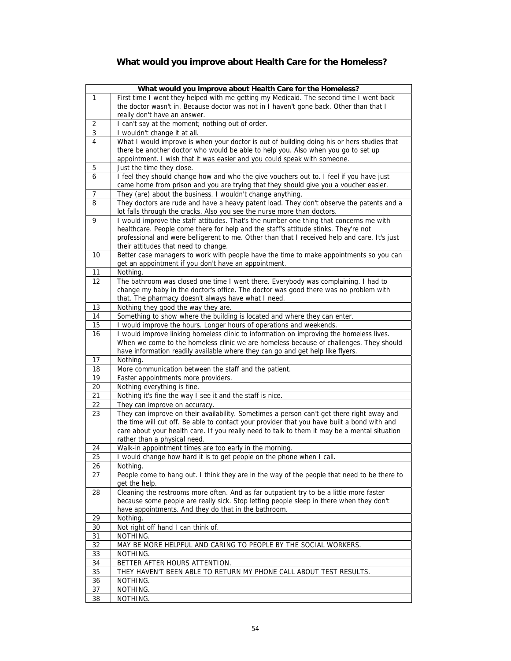## **What would you improve about Health Care for the Homeless?**

|                 | What would you improve about Health Care for the Homeless?                                   |
|-----------------|----------------------------------------------------------------------------------------------|
| 1               | First time I went they helped with me getting my Medicaid. The second time I went back       |
|                 | the doctor wasn't in. Because doctor was not in I haven't gone back. Other than that I       |
|                 | really don't have an answer.                                                                 |
|                 |                                                                                              |
| 2               | I can't say at the moment; nothing out of order.                                             |
| $\mathbf{3}$    | wouldn't change it at all.                                                                   |
| 4               | What I would improve is when your doctor is out of building doing his or hers studies that   |
|                 | there be another doctor who would be able to help you. Also when you go to set up            |
|                 | appointment. I wish that it was easier and you could speak with someone.                     |
| 5               | Just the time they close.                                                                    |
| 6               | I feel they should change how and who the give vouchers out to. I feel if you have just      |
|                 | came home from prison and you are trying that they should give you a voucher easier.         |
| 7               | They (are) about the business. I wouldn't change anything.                                   |
| 8               | They doctors are rude and have a heavy patent load. They don't observe the patents and a     |
|                 | lot falls through the cracks. Also you see the nurse more than doctors.                      |
| 9               | I would improve the staff attitudes. That's the number one thing that concerns me with       |
|                 | healthcare. People come there for help and the staff's attitude stinks. They're not          |
|                 | professional and were belligerent to me. Other than that I received help and care. It's just |
|                 | their attitudes that need to change.                                                         |
| 10              | Better case managers to work with people have the time to make appointments so you can       |
|                 | get an appointment if you don't have an appointment.                                         |
| 11              | Nothing.                                                                                     |
| $\overline{1}2$ | The bathroom was closed one time I went there. Everybody was complaining. I had to           |
|                 | change my baby in the doctor's office. The doctor was good there was no problem with         |
|                 |                                                                                              |
|                 | that. The pharmacy doesn't always have what I need.                                          |
| 13              | Nothing they good the way they are.                                                          |
| 14              | Something to show where the building is located and where they can enter.                    |
| 15              | I would improve the hours. Longer hours of operations and weekends.                          |
| 16              | I would improve linking homeless clinic to information on improving the homeless lives.      |
|                 | When we come to the homeless clinic we are homeless because of challenges. They should       |
|                 | have information readily available where they can go and get help like flyers.               |
| 17              | Nothing.                                                                                     |
| 18              | More communication between the staff and the patient.                                        |
| 19              | Faster appointments more providers.                                                          |
| 20              | Nothing everything is fine.                                                                  |
| 21              | Nothing it's fine the way I see it and the staff is nice.                                    |
| 22              | They can improve on accuracy.                                                                |
| 23              | They can improve on their availability. Sometimes a person can't get there right away and    |
|                 | the time will cut off. Be able to contact your provider that you have built a bond with and  |
|                 | care about your health care. If you really need to talk to them it may be a mental situation |
|                 | rather than a physical need.                                                                 |
| 24              | Walk-in appointment times are too early in the morning.                                      |
| 25              | I would change how hard it is to get people on the phone when I call.                        |
| 26              | Nothing.                                                                                     |
| 27              | People come to hang out. I think they are in the way of the people that need to be there to  |
|                 | get the help.                                                                                |
| 28              | Cleaning the restrooms more often. And as far outpatient try to be a little more faster      |
|                 | because some people are really sick. Stop letting people sleep in there when they don't      |
|                 | have appointments. And they do that in the bathroom.                                         |
| 29              | Nothing.                                                                                     |
| 30              | Not right off hand I can think of.                                                           |
| 31              | NOTHING.                                                                                     |
|                 |                                                                                              |
| 32              | MAY BE MORE HELPFUL AND CARING TO PEOPLE BY THE SOCIAL WORKERS.                              |
| 33              | NOTHING.                                                                                     |
| 34              | BETTER AFTER HOURS ATTENTION.                                                                |
| 35              | THEY HAVEN'T BEEN ABLE TO RETURN MY PHONE CALL ABOUT TEST RESULTS.                           |
| 36              | NOTHING.                                                                                     |
| 37              | NOTHING.                                                                                     |
| 38              | NOTHING.                                                                                     |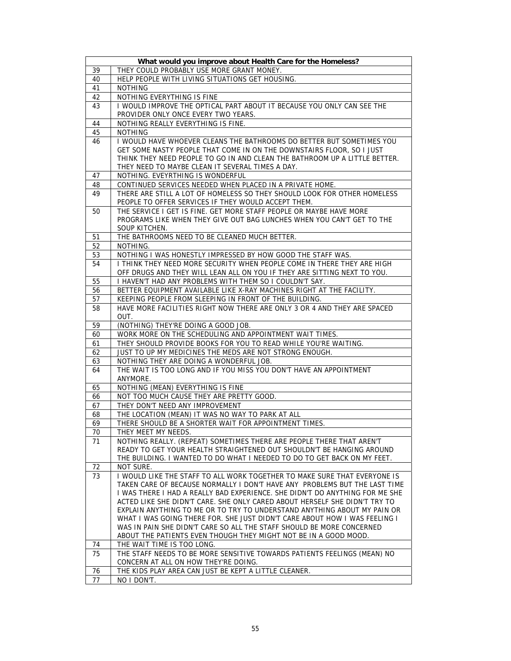|          | What would you improve about Health Care for the Homeless?                             |
|----------|----------------------------------------------------------------------------------------|
| 39       | THEY COULD PROBABLY USE MORE GRANT MONEY.                                              |
| 40       | HELP PEOPLE WITH LIVING SITUATIONS GET HOUSING.                                        |
| 41       | <b>NOTHING</b>                                                                         |
| 42       | NOTHING EVERYTHING IS FINE                                                             |
| 43       | I WOULD IMPROVE THE OPTICAL PART ABOUT IT BECAUSE YOU ONLY CAN SEE THE                 |
|          | PROVIDER ONLY ONCE EVERY TWO YEARS.                                                    |
| 44       | NOTHING REALLY EVERYTHING IS FINE.                                                     |
| 45       | <b>NOTHING</b>                                                                         |
| 46       | I WOULD HAVE WHOEVER CLEANS THE BATHROOMS DO BETTER BUT SOMETIMES YOU                  |
|          | GET SOME NASTY PEOPLE THAT COME IN ON THE DOWNSTAIRS FLOOR, SO I JUST                  |
|          | THINK THEY NEED PEOPLE TO GO IN AND CLEAN THE BATHROOM UP A LITTLE BETTER.             |
|          | THEY NEED TO MAYBE CLEAN IT SEVERAL TIMES A DAY.                                       |
| 47       | NOTHING. EVEYRTHING IS WONDERFUL                                                       |
| 48       | CONTINUED SERVICES NEEDED WHEN PLACED IN A PRIVATE HOME.                               |
| 49       | THERE ARE STILL A LOT OF HOMELESS SO THEY SHOULD LOOK FOR OTHER HOMELESS               |
|          | PEOPLE TO OFFER SERVICES IF THEY WOULD ACCEPT THEM.                                    |
| 50       | THE SERVICE I GET IS FINE. GET MORE STAFF PEOPLE OR MAYBE HAVE MORE                    |
|          | PROGRAMS LIKE WHEN THEY GIVE OUT BAG LUNCHES WHEN YOU CAN'T GET TO THE                 |
|          | SOUP KITCHEN.                                                                          |
| 51       | THE BATHROOMS NEED TO BE CLEANED MUCH BETTER.                                          |
| 52       | NOTHING.                                                                               |
| 53       | NOTHING I WAS HONESTLY IMPRESSED BY HOW GOOD THE STAFF WAS.                            |
| 54       | I THINK THEY NEED MORE SECURITY WHEN PEOPLE COME IN THERE THEY ARE HIGH                |
|          | OFF DRUGS AND THEY WILL LEAN ALL ON YOU IF THEY ARE SITTING NEXT TO YOU.               |
| 55       | I HAVEN'T HAD ANY PROBLEMS WITH THEM SO I COULDN'T SAY.                                |
| 56       | BETTER EQUIPMENT AVAILABLE LIKE X-RAY MACHINES RIGHT AT THE FACILITY.                  |
| 57       | KEEPING PEOPLE FROM SLEEPING IN FRONT OF THE BUILDING.                                 |
| 58       | HAVE MORE FACILITIES RIGHT NOW THERE ARE ONLY 3 OR 4 AND THEY ARE SPACED               |
|          | OUT.                                                                                   |
| 59       | (NOTHING) THEY'RE DOING A GOOD JOB.                                                    |
| 60       | WORK MORE ON THE SCHEDULING AND APPOINTMENT WAIT TIMES.                                |
| 61       | THEY SHOULD PROVIDE BOOKS FOR YOU TO READ WHILE YOU'RE WAITING.                        |
| 62       | JUST TO UP MY MEDICINES THE MEDS ARE NOT STRONG ENOUGH.                                |
| 63       | NOTHING THEY ARE DOING A WONDERFUL JOB.                                                |
| 64       | THE WAIT IS TOO LONG AND IF YOU MISS YOU DON'T HAVE AN APPOINTMENT                     |
|          | ANYMORE.                                                                               |
| 65       | NOTHING (MEAN) EVERYTHING IS FINE                                                      |
| 66       | NOT TOO MUCH CAUSE THEY ARE PRETTY GOOD.                                               |
| 67       | THEY DON'T NEED ANY IMPROVEMENT                                                        |
| 68       | THE LOCATION (MEAN) IT WAS NO WAY TO PARK AT ALL                                       |
| 69       | THERE SHOULD BE A SHORTER WAIT FOR APPOINTMENT TIMES.                                  |
| 70       | THEY MEET MY NEEDS.                                                                    |
| 71       | NOTHING REALLY. (REPEAT) SOMETIMES THERE ARE PEOPLE THERE THAT AREN'T                  |
|          | READY TO GET YOUR HEALTH STRAIGHTENED OUT SHOULDN'T BE HANGING AROUND                  |
|          | THE BUILDING. I WANTED TO DO WHAT I NEEDED TO DO TO GET BACK ON MY FEET.               |
| 72<br>73 | NOT SURE.<br>I WOULD LIKE THE STAFF TO ALL WORK TOGETHER TO MAKE SURE THAT EVERYONE IS |
|          | TAKEN CARE OF BECAUSE NORMALLY I DON'T HAVE ANY PROBLEMS BUT THE LAST TIME             |
|          | I WAS THERE I HAD A REALLY BAD EXPERIENCE. SHE DIDN'T DO ANYTHING FOR ME SHE           |
|          | ACTED LIKE SHE DIDN'T CARE. SHE ONLY CARED ABOUT HERSELF SHE DIDN'T TRY TO             |
|          | EXPLAIN ANYTHING TO ME OR TO TRY TO UNDERSTAND ANYTHING ABOUT MY PAIN OR               |
|          | WHAT I WAS GOING THERE FOR. SHE JUST DIDN'T CARE ABOUT HOW I WAS FEELING I             |
|          | WAS IN PAIN SHE DIDN'T CARE SO ALL THE STAFF SHOULD BE MORE CONCERNED                  |
|          | ABOUT THE PATIENTS EVEN THOUGH THEY MIGHT NOT BE IN A GOOD MOOD.                       |
| 74       | THE WAIT TIME IS TOO LONG.                                                             |
| 75       | THE STAFF NEEDS TO BE MORE SENSITIVE TOWARDS PATIENTS FEELINGS (MEAN) NO               |
|          | CONCERN AT ALL ON HOW THEY'RE DOING.                                                   |
| 76       | THE KIDS PLAY AREA CAN JUST BE KEPT A LITTLE CLEANER.                                  |
| 77       | NO I DON'T.                                                                            |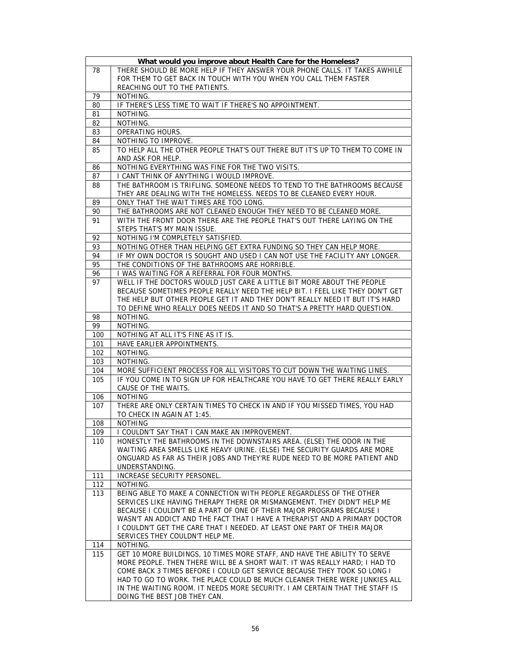|     | What would you improve about Health Care for the Homeless?                                                  |
|-----|-------------------------------------------------------------------------------------------------------------|
| 78  | THERE SHOULD BE MORE HELP IF THEY ANSWER YOUR PHONE CALLS. IT TAKES AWHILE                                  |
|     | FOR THEM TO GET BACK IN TOUCH WITH YOU WHEN YOU CALL THEM FASTER                                            |
|     | REACHING OUT TO THE PATIENTS.                                                                               |
| 79  | NOTHING.                                                                                                    |
| 80  | IF THERE'S LESS TIME TO WAIT IF THERE'S NO APPOINTMENT.                                                     |
| 81  | NOTHING.                                                                                                    |
| 82  | NOTHING.                                                                                                    |
| 83  | <b>OPERATING HOURS.</b>                                                                                     |
| 84  | NOTHING TO IMPROVE.                                                                                         |
| 85  | TO HELP ALL THE OTHER PEOPLE THAT'S OUT THERE BUT IT'S UP TO THEM TO COME IN                                |
|     | AND ASK FOR HELP.                                                                                           |
| 86  | NOTHING EVERYTHING WAS FINE FOR THE TWO VISITS.                                                             |
| 87  | I CANT THINK OF ANYTHING I WOULD IMPROVE.                                                                   |
| 88  | THE BATHROOM IS TRIFLING. SOMEONE NEEDS TO TEND TO THE BATHROOMS BECAUSE                                    |
|     | THEY ARE DEALING WITH THE HOMELESS. NEEDS TO BE CLEANED EVERY HOUR.                                         |
| 89  | ONLY THAT THE WAIT TIMES ARE TOO LONG.                                                                      |
| 90  | THE BATHROOMS ARE NOT CLEANED ENOUGH THEY NEED TO BE CLEANED MORE.                                          |
| 91  | WITH THE FRONT DOOR THERE ARE THE PEOPLE THAT'S OUT THERE LAYING ON THE                                     |
|     | STEPS THAT'S MY MAIN ISSUE.                                                                                 |
| 92  | NOTHING I'M COMPLETELY SATISFIED.                                                                           |
| 93  | NOTHING OTHER THAN HELPING GET EXTRA FUNDING SO THEY CAN HELP MORE.                                         |
| 94  | IF MY OWN DOCTOR IS SOUGHT AND USED I CAN NOT USE THE FACILITY ANY LONGER.                                  |
| 95  | THE CONDITIONS OF THE BATHROOMS ARE HORRIBLE.                                                               |
| 96  | I WAS WAITING FOR A REFERRAL FOR FOUR MONTHS.                                                               |
| 97  | WELL IF THE DOCTORS WOULD JUST CARE A LITTLE BIT MORE ABOUT THE PEOPLE                                      |
|     | BECAUSE SOMETIMES PEOPLE REALLY NEED THE HELP BIT. I FEEL LIKE THEY DON'T GET                               |
|     | THE HELP BUT OTHER PEOPLE GET IT AND THEY DON'T REALLY NEED IT BUT IT'S HARD                                |
|     | TO DEFINE WHO REALLY DOES NEEDS IT AND SO THAT'S A PRETTY HARD QUESTION.                                    |
| 98  | NOTHING.                                                                                                    |
| 99  | NOTHING.                                                                                                    |
|     |                                                                                                             |
| 100 |                                                                                                             |
| 101 | NOTHING AT ALL IT'S FINE AS IT IS.<br>HAVE EARLIER APPOINTMENTS.                                            |
| 102 | NOTHING.                                                                                                    |
| 103 | NOTHING.                                                                                                    |
| 104 | MORE SUFFICIENT PROCESS FOR ALL VISITORS TO CUT DOWN THE WAITING LINES.                                     |
| 105 | IF YOU COME IN TO SIGN UP FOR HEALTHCARE YOU HAVE TO GET THERE REALLY EARLY                                 |
|     | CAUSE OF THE WAITS.                                                                                         |
| 106 | <b>NOTHING</b>                                                                                              |
| 107 | THERE ARE ONLY CERTAIN TIMES TO CHECK IN AND IF YOU MISSED TIMES, YOU HAD                                   |
|     | TO CHECK IN AGAIN AT 1:45.                                                                                  |
| 108 | <b>NOTHING</b>                                                                                              |
| 109 | I COULDN'T SAY THAT I CAN MAKE AN IMPROVEMENT.                                                              |
| 110 | HONESTLY THE BATHROOMS IN THE DOWNSTAIRS AREA. (ELSE) THE ODOR IN THE                                       |
|     | WAITING AREA SMELLS LIKE HEAVY URINE. (ELSE) THE SECURITY GUARDS ARE MORE                                   |
|     | ONGUARD AS FAR AS THEIR JOBS AND THEY'RE RUDE NEED TO BE MORE PATIENT AND                                   |
|     | UNDERSTANDING.                                                                                              |
| 111 | INCREASE SECURITY PERSONEL.                                                                                 |
| 112 | NOTHING.                                                                                                    |
| 113 | BEING ABLE TO MAKE A CONNECTION WITH PEOPLE REGARDLESS OF THE OTHER                                         |
|     | SERVICES LIKE HAVING THERAPY THERE OR MISMANGEMENT. THEY DIDN'T HELP ME                                     |
|     | BECAUSE I COULDN'T BE A PART OF ONE OF THEIR MAJOR PROGRAMS BECAUSE I                                       |
|     | WASN'T AN ADDICT AND THE FACT THAT I HAVE A THERAPIST AND A PRIMARY DOCTOR                                  |
|     | I COULDN'T GET THE CARE THAT I NEEDED. AT LEAST ONE PART OF THEIR MAJOR                                     |
|     | SERVICES THEY COULDN'T HELP ME.                                                                             |
| 114 | NOTHING.                                                                                                    |
| 115 | GET 10 MORE BUILDINGS, 10 TIMES MORE STAFF, AND HAVE THE ABILITY TO SERVE                                   |
|     | MORE PEOPLE. THEN THERE WILL BE A SHORT WAIT. IT WAS REALLY HARD; I HAD TO                                  |
|     | COME BACK 3 TIMES BEFORE I COULD GET SERVICE BECAUSE THEY TOOK SO LONG I                                    |
|     | HAD TO GO TO WORK. THE PLACE COULD BE MUCH CLEANER THERE WERE JUNKIES ALL                                   |
|     | IN THE WAITING ROOM. IT NEEDS MORE SECURITY. I AM CERTAIN THAT THE STAFF IS<br>DOING THE BEST JOB THEY CAN. |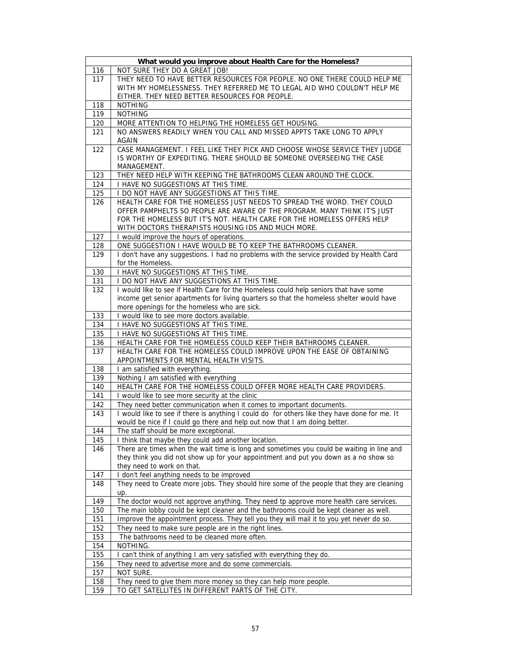| What would you improve about Health Care for the Homeless? |                                                                                               |  |
|------------------------------------------------------------|-----------------------------------------------------------------------------------------------|--|
| 116                                                        | NOT SURE THEY DO A GREAT JOB!                                                                 |  |
| 117                                                        | THEY NEED TO HAVE BETTER RESOURCES FOR PEOPLE. NO ONE THERE COULD HELP ME                     |  |
|                                                            | WITH MY HOMELESSNESS. THEY REFERRED ME TO LEGAL AID WHO COULDN'T HELP ME                      |  |
|                                                            | EITHER. THEY NEED BETTER RESOURCES FOR PEOPLE.                                                |  |
| 118                                                        | <b>NOTHING</b>                                                                                |  |
| 119                                                        | <b>NOTHING</b>                                                                                |  |
| 120                                                        | MORE ATTENTION TO HELPING THE HOMELESS GET HOUSING.                                           |  |
| 121                                                        | NO ANSWERS READILY WHEN YOU CALL AND MISSED APPTS TAKE LONG TO APPLY                          |  |
|                                                            | <b>AGAIN</b>                                                                                  |  |
| 122                                                        | CASE MANAGEMENT. I FEEL LIKE THEY PICK AND CHOOSE WHOSE SERVICE THEY JUDGE                    |  |
|                                                            | IS WORTHY OF EXPEDITING. THERE SHOULD BE SOMEONE OVERSEEING THE CASE                          |  |
|                                                            | MANAGEMENT.                                                                                   |  |
| 123                                                        | THEY NEED HELP WITH KEEPING THE BATHROOMS CLEAN AROUND THE CLOCK.                             |  |
| 124                                                        | I HAVE NO SUGGESTIONS AT THIS TIME.                                                           |  |
| 125                                                        | I DO NOT HAVE ANY SUGGESTIONS AT THIS TIME.                                                   |  |
| 126                                                        | HEALTH CARE FOR THE HOMELESS JUST NEEDS TO SPREAD THE WORD. THEY COULD                        |  |
|                                                            | OFFER PAMPHELTS SO PEOPLE ARE AWARE OF THE PROGRAM. MANY THINK IT'S JUST                      |  |
|                                                            | FOR THE HOMELESS BUT IT'S NOT. HEALTH CARE FOR THE HOMELESS OFFERS HELP                       |  |
|                                                            | WITH DOCTORS THERAPISTS HOUSING IDS AND MUCH MORE.                                            |  |
| 127                                                        | I would improve the hours of operations.                                                      |  |
| 128                                                        | ONE SUGGESTION I HAVE WOULD BE TO KEEP THE BATHROOMS CLEANER.                                 |  |
| 129                                                        | I don't have any suggestions. I had no problems with the service provided by Health Card      |  |
|                                                            | for the Homeless.                                                                             |  |
| 130                                                        | I HAVE NO SUGGESTIONS AT THIS TIME.                                                           |  |
| 131                                                        | I DO NOT HAVE ANY SUGGESTIONS AT THIS TIME.                                                   |  |
| 132                                                        | I would like to see if Health Care for the Homeless could help seniors that have some         |  |
|                                                            | income get senior apartments for living quarters so that the homeless shelter would have      |  |
|                                                            | more openings for the homeless who are sick.                                                  |  |
| 133                                                        | I would like to see more doctors available.                                                   |  |
| 134                                                        | I HAVE NO SUGGESTIONS AT THIS TIME.                                                           |  |
| 135                                                        | I HAVE NO SUGGESTIONS AT THIS TIME.                                                           |  |
| 136                                                        | HEALTH CARE FOR THE HOMELESS COULD KEEP THEIR BATHROOMS CLEANER.                              |  |
| 137                                                        | HEALTH CARE FOR THE HOMELESS COULD IMPROVE UPON THE EASE OF OBTAINING                         |  |
|                                                            | APPOINTMENTS FOR MENTAL HEALTH VISITS.                                                        |  |
| 138                                                        | I am satisfied with everything.                                                               |  |
| 139                                                        | Nothing I am satisfied with everything                                                        |  |
| 140                                                        | HEALTH CARE FOR THE HOMELESS COULD OFFER MORE HEALTH CARE PROVIDERS.                          |  |
| 141                                                        | I would like to see more security at the clinic                                               |  |
| 142                                                        | They need better communication when it comes to important documents.                          |  |
| 143                                                        | I would like to see if there is anything I could do for others like they have done for me. It |  |
|                                                            | would be nice if I could go there and help out now that I am doing better.                    |  |
| 144                                                        | The staff should be more exceptional.                                                         |  |
| 145                                                        | I think that maybe they could add another location.                                           |  |
| 146                                                        | There are times when the wait time is long and sometimes you could be waiting in line and     |  |
|                                                            | they think you did not show up for your appointment and put you down as a no show so          |  |
|                                                            | they need to work on that.                                                                    |  |
| 147                                                        | I don't feel anything needs to be improved                                                    |  |
| 148                                                        | They need to Create more jobs. They should hire some of the people that they are cleaning     |  |
|                                                            | up.                                                                                           |  |
| 149                                                        | The doctor would not approve anything. They need tp approve more health care services.        |  |
| 150                                                        | The main lobby could be kept cleaner and the bathrooms could be kept cleaner as well.         |  |
| <u>151</u>                                                 | Improve the appointment process. They tell you they will mail it to you yet never do so.      |  |
| 152                                                        | They need to make sure people are in the right lines.                                         |  |
| 153                                                        | The bathrooms need to be cleaned more often.                                                  |  |
| 154                                                        | NOTHING.                                                                                      |  |
| 155                                                        | I can't think of anything I am very satisfied with everything they do.                        |  |
| 156                                                        | They need to advertise more and do some commercials.                                          |  |
| 157                                                        | NOT SURE.                                                                                     |  |
| 158                                                        | They need to give them more money so they can help more people.                               |  |
| 159                                                        | TO GET SATELLITES IN DIFFERENT PARTS OF THE CITY.                                             |  |
|                                                            |                                                                                               |  |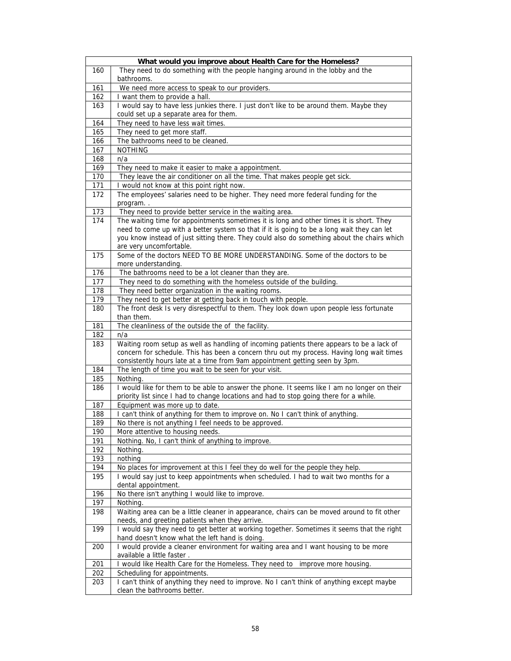|     | What would you improve about Health Care for the Homeless?                                                                                                                                                                                                                                                       |
|-----|------------------------------------------------------------------------------------------------------------------------------------------------------------------------------------------------------------------------------------------------------------------------------------------------------------------|
| 160 | They need to do something with the people hanging around in the lobby and the<br>bathrooms.                                                                                                                                                                                                                      |
| 161 | We need more access to speak to our providers.                                                                                                                                                                                                                                                                   |
| 162 | I want them to provide a hall.                                                                                                                                                                                                                                                                                   |
| 163 | I would say to have less junkies there. I just don't like to be around them. Maybe they<br>could set up a separate area for them.                                                                                                                                                                                |
| 164 | They need to have less wait times.                                                                                                                                                                                                                                                                               |
| 165 | They need to get more staff.                                                                                                                                                                                                                                                                                     |
| 166 | The bathrooms need to be cleaned.                                                                                                                                                                                                                                                                                |
| 167 | <b>NOTHING</b>                                                                                                                                                                                                                                                                                                   |
| 168 | n/a                                                                                                                                                                                                                                                                                                              |
| 169 | They need to make it easier to make a appointment.                                                                                                                                                                                                                                                               |
| 170 | They leave the air conditioner on all the time. That makes people get sick.                                                                                                                                                                                                                                      |
| 171 | I would not know at this point right now.                                                                                                                                                                                                                                                                        |
| 172 | The employees' salaries need to be higher. They need more federal funding for the                                                                                                                                                                                                                                |
|     | program                                                                                                                                                                                                                                                                                                          |
| 173 | They need to provide better service in the waiting area.                                                                                                                                                                                                                                                         |
| 174 | The waiting time for appointments sometimes it is long and other times it is short. They<br>need to come up with a better system so that if it is going to be a long wait they can let<br>you know instead of just sitting there. They could also do something about the chairs which<br>are very uncomfortable. |
| 175 | Some of the doctors NEED TO BE MORE UNDERSTANDING. Some of the doctors to be<br>more understanding.                                                                                                                                                                                                              |
| 176 | The bathrooms need to be a lot cleaner than they are.                                                                                                                                                                                                                                                            |
| 177 | They need to do something with the homeless outside of the building.                                                                                                                                                                                                                                             |
| 178 | They need better organization in the waiting rooms.                                                                                                                                                                                                                                                              |
| 179 | They need to get better at getting back in touch with people.                                                                                                                                                                                                                                                    |
| 180 | The front desk Is very disrespectful to them. They look down upon people less fortunate<br>than them.                                                                                                                                                                                                            |
| 181 | The cleanliness of the outside the of the facility.                                                                                                                                                                                                                                                              |
| 182 | n/a                                                                                                                                                                                                                                                                                                              |
| 183 | Waiting room setup as well as handling of incoming patients there appears to be a lack of<br>concern for schedule. This has been a concern thru out my process. Having long wait times<br>consistently hours late at a time from 9am appointment getting seen by 3pm.                                            |
| 184 | The length of time you wait to be seen for your visit.                                                                                                                                                                                                                                                           |
| 185 | Nothing.                                                                                                                                                                                                                                                                                                         |
| 186 | I would like for them to be able to answer the phone. It seems like I am no longer on their<br>priority list since I had to change locations and had to stop going there for a while.                                                                                                                            |
| 187 | Equipment was more up to date.                                                                                                                                                                                                                                                                                   |
| 188 | I can't think of anything for them to improve on. No I can't think of anything.                                                                                                                                                                                                                                  |
| 189 | No there is not anything I feel needs to be approved.                                                                                                                                                                                                                                                            |
| 190 | More attentive to housing needs.                                                                                                                                                                                                                                                                                 |
| 191 | Nothing. No, I can't think of anything to improve.                                                                                                                                                                                                                                                               |
| 192 | Nothing.                                                                                                                                                                                                                                                                                                         |
| 193 | nothing                                                                                                                                                                                                                                                                                                          |
| 194 | No places for improvement at this I feel they do well for the people they help.                                                                                                                                                                                                                                  |
| 195 | I would say just to keep appointments when scheduled. I had to wait two months for a<br>dental appointment.                                                                                                                                                                                                      |
| 196 | No there isn't anything I would like to improve.                                                                                                                                                                                                                                                                 |
| 197 | Nothing.                                                                                                                                                                                                                                                                                                         |
| 198 | Waiting area can be a little cleaner in appearance, chairs can be moved around to fit other<br>needs, and greeting patients when they arrive.                                                                                                                                                                    |
| 199 | I would say they need to get better at working together. Sometimes it seems that the right<br>hand doesn't know what the left hand is doing.                                                                                                                                                                     |
| 200 | I would provide a cleaner environment for waiting area and I want housing to be more<br>available a little faster.                                                                                                                                                                                               |
| 201 | I would like Health Care for the Homeless. They need to improve more housing.                                                                                                                                                                                                                                    |
| 202 | Scheduling for appointments.                                                                                                                                                                                                                                                                                     |
| 203 | I can't think of anything they need to improve. No I can't think of anything except maybe                                                                                                                                                                                                                        |
|     | clean the bathrooms better.                                                                                                                                                                                                                                                                                      |